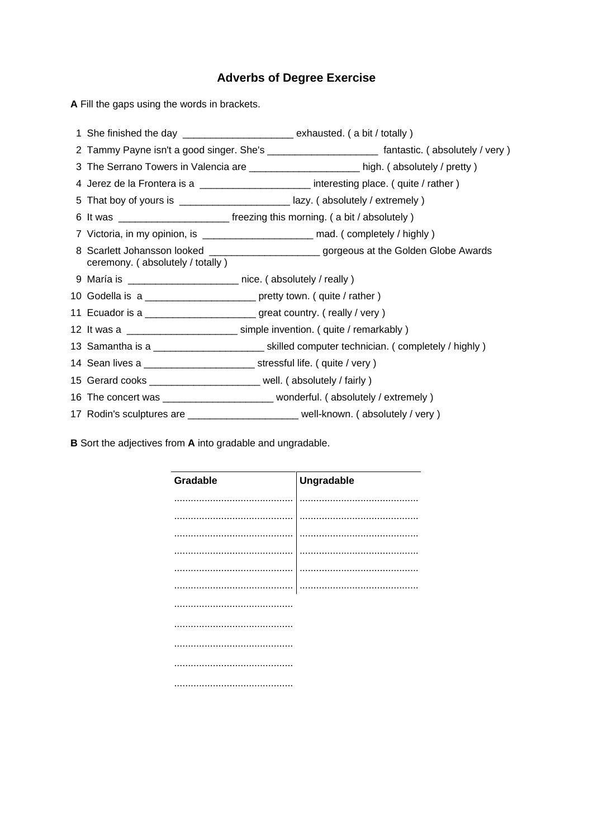## **Adverbs of Degree Exercise**

**A** Fill the gaps using the words in brackets.

|                                                                    | 1 She finished the day ________________________ exhausted. (a bit / totally)                       |
|--------------------------------------------------------------------|----------------------------------------------------------------------------------------------------|
|                                                                    | 2 Tammy Payne isn't a good singer. She's __________________________ fantastic. (absolutely / very) |
|                                                                    |                                                                                                    |
|                                                                    | 4 Jerez de la Frontera is a ______________________ interesting place. (quite / rather)             |
|                                                                    | 5 That boy of yours is _________________________lazy. (absolutely / extremely )                    |
|                                                                    | 6 It was ______________________________ freezing this morning. (a bit / absolutely )               |
|                                                                    |                                                                                                    |
| ceremony. (absolutely / totally)                                   | 8 Scarlett Johansson looked _______________________gorgeous at the Golden Globe Awards             |
| 9 María is __________________________ nice. (absolutely / really ) |                                                                                                    |
|                                                                    | 10 Godella is a __________________________ pretty town. (quite / rather)                           |
|                                                                    | 11 Ecuador is a ________________________great country. (really / very )                            |
|                                                                    | 12 It was a __________________________ simple invention. (quite / remarkably)                      |
|                                                                    | 13 Samantha is a __________________________skilled computer technician. ( completely / highly )    |
|                                                                    | 14 Sean lives a ________________________________ stressful life. (quite / very)                    |
|                                                                    | 15 Gerard cooks ________________________ well. (absolutely / fairly )                              |
|                                                                    | 16 The concert was __________________________ wonderful. (absolutely / extremely )                 |
|                                                                    | 17 Rodin's sculptures are _________________________well-known. (absolutely / very )                |
|                                                                    |                                                                                                    |

**B** Sort the adjectives from **A** into gradable and ungradable.

| Gradable      | Ungradable |
|---------------|------------|
|               |            |
|               |            |
|               |            |
|               |            |
|               |            |
| .<br>$\cdots$ | .          |
|               |            |
|               |            |
|               |            |
|               |            |
|               |            |